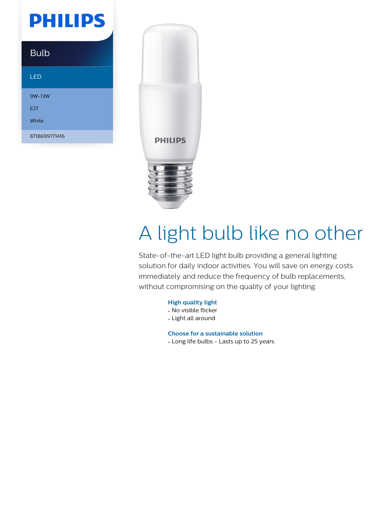## **PHILIPS**

### Bulb

#### LED

9W-13W E27 White 8718699771416



# A light bulb like no other

State-of-the-art LED light bulb providing a general lighting solution for daily indoor activities. You will save on energy costs immediately and reduce the frequency of bulb replacements, without compromising on the quality of your lighting.

#### **High quality light**

- No visible flicker
- Light all around

**Choose for a sustainable solution**

• Long life bulbs - Lasts up to 25 years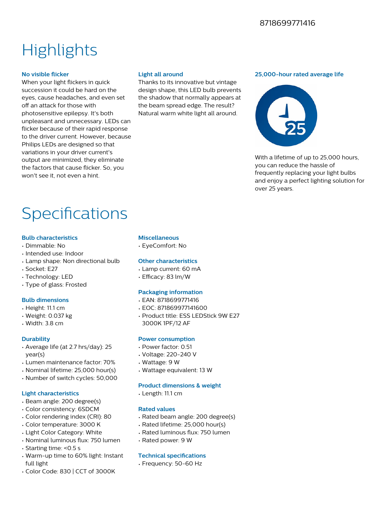#### 8718699771416

## **Highlights**

#### **No visible flicker**

When your light flickers in quick succession it could be hard on the eyes, cause headaches, and even set off an attack for those with photosensitive epilepsy. It's both unpleasant and unnecessary. LEDs can flicker because of their rapid response to the driver current. However, because Philips LEDs are designed so that variations in your driver current's output are minimized, they eliminate the factors that cause flicker. So, you won't see it, not even a hint.

#### **Light all around**

Thanks to its innovative but vintage design shape, this LED bulb prevents the shadow that normally appears at the beam spread edge. The result? Natural warm white light all around.

#### **25,000-hour rated average life**



With a lifetime of up to 25,000 hours. you can reduce the hassle of frequently replacing your light bulbs and enjoy a perfect lighting solution for over 25 years.

## Specifications

#### **Bulb characteristics**

- Dimmable: No
- Intended use: Indoor
- Lamp shape: Non directional bulb
- Socket: E27
- Technology: LED
- Type of glass: Frosted

#### **Bulb dimensions**

- Height: 11.1 cm
- Weight: 0.037 kg
- Width: 3.8 cm

#### **Durability**

- Average life (at 2.7 hrs/day): 25 year(s)
- Lumen maintenance factor: 70%
- Nominal lifetime: 25,000 hour(s)
- Number of switch cycles: 50,000

#### **Light characteristics**

- Beam angle: 200 degree(s)
- Color consistency: 6SDCM
- Color rendering index (CRI): 80
- Color temperature: 3000 K
- Light Color Category: White
- Nominal luminous flux: 750 lumen
- Starting time: <0.5 s
- Warm-up time to 60% light: Instant full light
- Color Code: 830 | CCT of 3000K

#### **Miscellaneous**

• EyeComfort: No

#### **Other characteristics**

- Lamp current: 60 mA
- $\cdot$  Efficacy: 83 lm/W

#### **Packaging information**

- EAN: 8718699771416
- EOC: 871869977141600
- Product title: ESS LEDStick 9W E27 3000K 1PF/12 AF

#### **Power consumption**

- Power factor: 0.51
- Voltage: 220-240 V
- Wattage: 9 W
- Wattage equivalent: 13 W

#### **Product dimensions & weight**

• Length: 11.1 cm

#### **Rated values**

- Rated beam angle: 200 degree(s)
- Rated lifetime: 25,000 hour(s)
- Rated luminous flux: 750 lumen
- Rated power: 9 W

#### **Technical specifications**

• Frequency: 50-60 Hz